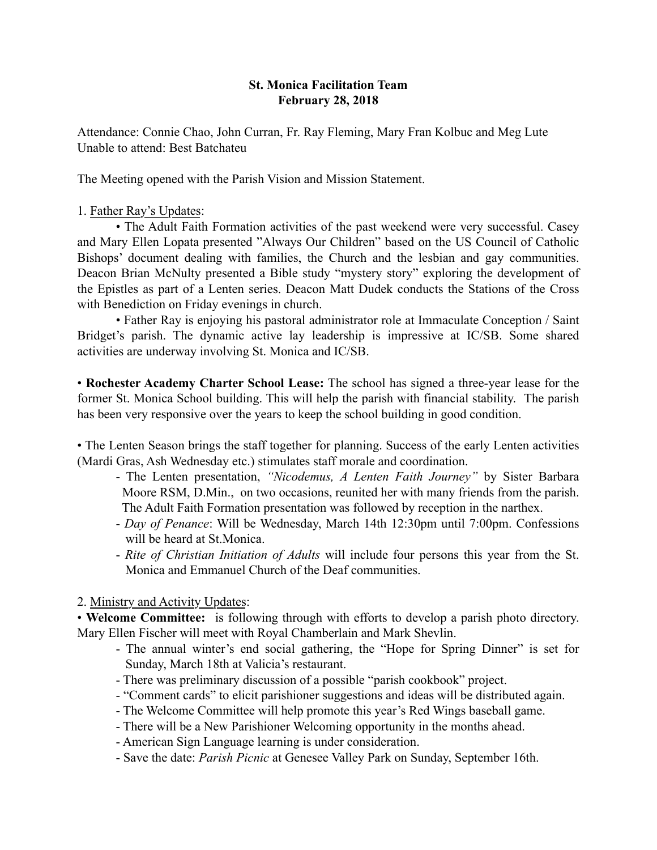## St. Monica Facilitation Team February 28, 2018

Attendance: Connie Chao, John Curran, Fr. Ray Fleming, Mary Fran Kolbuc and Meg Lute Unable to attend: Best Batchateu

The Meeting opened with the Parish Vision and Mission Statement.

### 1. Father Ray's Updates:

• The Adult Faith Formation activities of the past weekend were very successful. Casey and Mary Ellen Lopata presented "Always Our Children" based on the US Council of Catholic Bishops' document dealing with families, the Church and the lesbian and gay communities. Deacon Brian McNulty presented a Bible study "mystery story" exploring the development of the Epistles as part of a Lenten series. Deacon Matt Dudek conducts the Stations of the Cross with Benediction on Friday evenings in church.

• Father Ray is enjoying his pastoral administrator role at Immaculate Conception / Saint Bridget's parish. The dynamic active lay leadership is impressive at IC/SB. Some shared activities are underway involving St. Monica and IC/SB.

• Rochester Academy Charter School Lease: The school has signed a three-year lease for the former St. Monica School building. This will help the parish with financial stability. The parish has been very responsive over the years to keep the school building in good condition.

• The Lenten Season brings the staff together for planning. Success of the early Lenten activities (Mardi Gras, Ash Wednesday etc.) stimulates staff morale and coordination.

- The Lenten presentation, *"Nicodemus, A Lenten Faith Journey"* by Sister Barbara Moore RSM, D.Min., on two occasions, reunited her with many friends from the parish. The Adult Faith Formation presentation was followed by reception in the narthex.
- *Day of Penance*: Will be Wednesday, March 14th 12:30pm until 7:00pm. Confessions will be heard at St.Monica.
- *Rite of Christian Initiation of Adults* will include four persons this year from the St. Monica and Emmanuel Church of the Deaf communities.

# 2. Ministry and Activity Updates:

• Welcome Committee: is following through with efforts to develop a parish photo directory. Mary Ellen Fischer will meet with Royal Chamberlain and Mark Shevlin.

- The annual winter's end social gathering, the "Hope for Spring Dinner" is set for Sunday, March 18th at Valicia's restaurant.
- There was preliminary discussion of a possible "parish cookbook" project.
- "Comment cards" to elicit parishioner suggestions and ideas will be distributed again.
- The Welcome Committee will help promote this year's Red Wings baseball game.
- There will be a New Parishioner Welcoming opportunity in the months ahead.
- American Sign Language learning is under consideration.
- Save the date: *Parish Picnic* at Genesee Valley Park on Sunday, September 16th.